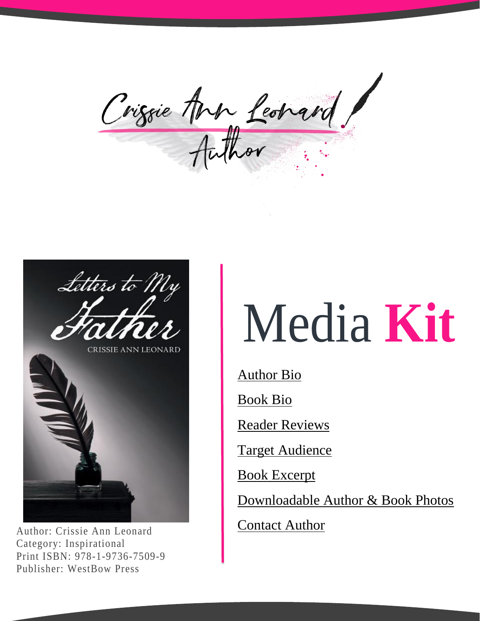Crissie Ann Leonard



Author: Crissie Ann Leonard Category: Inspirational Print ISBN: 978-1-9736-7509-9 Publisher: WestBow Press

## Media **Kit**

Author Bio

Book Bio

Reader Reviews

Target Audience

Book Excerpt

Downloadable Author & Book Photos

**Contact Author**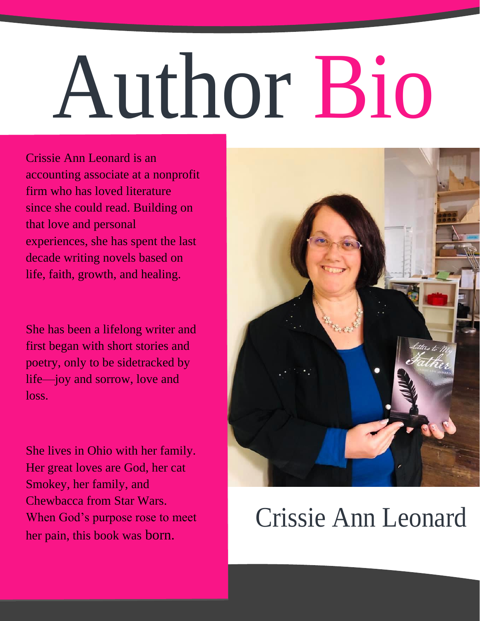# Author Bio

Crissie Ann Leonard is an accounting associate at a nonprofit firm who has loved literature since she could read. Building on that love and personal experiences, she has spent the last decade writing novels based on life, faith, growth, and healing.

She has been a lifelong writer and first began with short stories and poetry, only to be sidetracked by life—joy and sorrow, love and loss.

She lives in Ohio with her family. Her great loves are God, her cat Smokey, her family, and Chewbacca from Star Wars. When God's purpose rose to meet her pain, this book was born.



#### Crissie Ann Leonard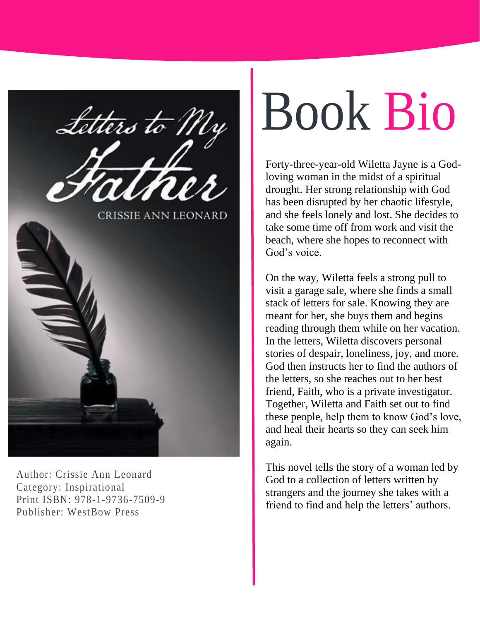

Author: Crissie Ann Leonard Category: Inspirational Print ISBN: 978-1-9736-7509-9 Publisher: WestBow Press

# Book Bio

Forty-three-year-old Wiletta Jayne is a Godloving woman in the midst of a spiritual drought. Her strong relationship with God has been disrupted by her chaotic lifestyle, and she feels lonely and lost. She decides to take some time off from work and visit the beach, where she hopes to reconnect with God's voice.

On the way, Wiletta feels a strong pull to visit a garage sale, where she finds a small stack of letters for sale. Knowing they are meant for her, she buys them and begins reading through them while on her vacation. In the letters, Wiletta discovers personal stories of despair, loneliness, joy, and more. God then instructs her to find the authors of the letters, so she reaches out to her best friend, Faith, who is a private investigator. Together, Wiletta and Faith set out to find these people, help them to know God's love, and heal their hearts so they can seek him again.

This novel tells the story of a woman led by God to a collection of letters written by strangers and the journey she takes with a friend to find and help the letters' authors.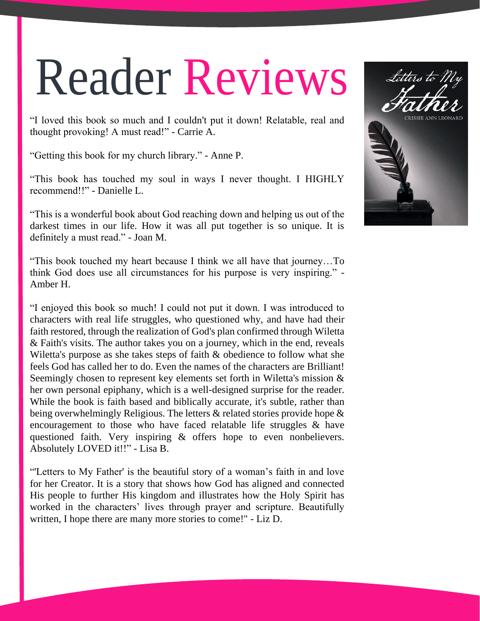### Reader Reviews

"I loved this book so much and I couldn't put it down! Relatable, real and thought provoking! A must read!" - Carrie A.

"Getting this book for my church library." - Anne P.

"This book has touched my soul in ways I never thought. I HIGHLY recommend!!" - Danielle L.

"This is a wonderful book about God reaching down and helping us out of the darkest times in our life. How it was all put together is so unique. It is definitely a must read." - Joan M.

"This book touched my heart because I think we all have that journey…To think God does use all circumstances for his purpose is very inspiring." - Amber H.

"I enjoyed this book so much! I could not put it down. I was introduced to characters with real life struggles, who questioned why, and have had their faith restored, through the realization of God's plan confirmed through Wiletta & Faith's visits. The author takes you on a journey, which in the end, reveals Wiletta's purpose as she takes steps of faith & obedience to follow what she feels God has called her to do. Even the names of the characters are Brilliant! Seemingly chosen to represent key elements set forth in Wiletta's mission & her own personal epiphany, which is a well-designed surprise for the reader. While the book is faith based and biblically accurate, it's subtle, rather than being overwhelmingly Religious. The letters & related stories provide hope & encouragement to those who have faced relatable life struggles & have questioned faith. Very inspiring & offers hope to even nonbelievers. Absolutely LOVED it!!" - Lisa B.

"'Letters to My Father' is the beautiful story of a woman's faith in and love for her Creator. It is a story that shows how God has aligned and connected His people to further His kingdom and illustrates how the Holy Spirit has worked in the characters' lives through prayer and scripture. Beautifully written, I hope there are many more stories to come!" - Liz D.

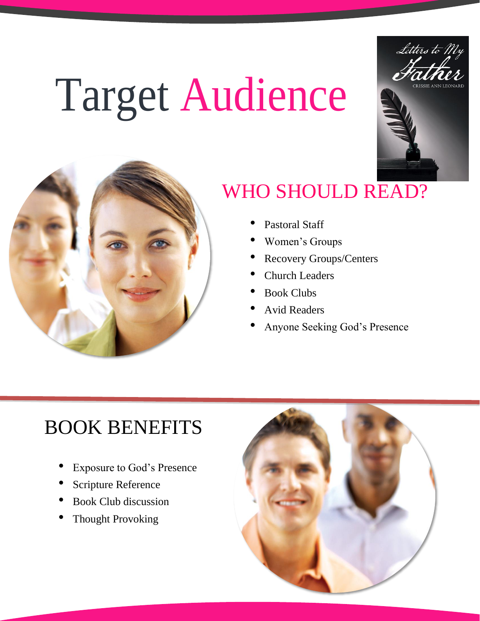### Target Audience





#### WHO SHOULD READ?

- Pastoral Staff
- Women's Groups
- Recovery Groups/Centers
- Church Leaders
- Book Clubs
- Avid Readers
- Anyone Seeking God's Presence

#### BOOK BENEFITS

- Exposure to God's Presence
- Scripture Reference
- Book Club discussion
- **Thought Provoking**

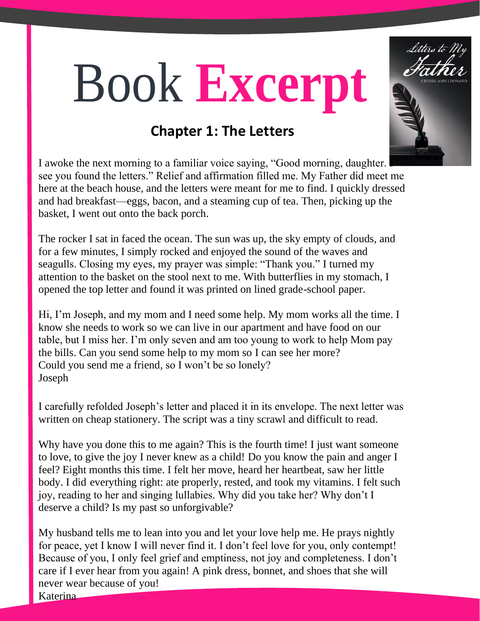### Book **Excerpt**



I awoke the next morning to a familiar voice saying, "Good morning, daughter. I see you found the letters." Relief and affirmation filled me. My Father did meet me here at the beach house, and the letters were meant for me to find. I quickly dressed and had breakfast—eggs, bacon, and a steaming cup of tea. Then, picking up the basket, I went out onto the back porch.

The rocker I sat in faced the ocean. The sun was up, the sky empty of clouds, and for a few minutes, I simply rocked and enjoyed the sound of the waves and seagulls. Closing my eyes, my prayer was simple: "Thank you." I turned my attention to the basket on the stool next to me. With butterflies in my stomach, I opened the top letter and found it was printed on lined grade-school paper.

Hi, I'm Joseph, and my mom and I need some help. My mom works all the time. I know she needs to work so we can live in our apartment and have food on our table, but I miss her. I'm only seven and am too young to work to help Mom pay the bills. Can you send some help to my mom so I can see her more? Could you send me a friend, so I won't be so lonely? Joseph

I carefully refolded Joseph's letter and placed it in its envelope. The next letter was written on cheap stationery. The script was a tiny scrawl and difficult to read.

Why have you done this to me again? This is the fourth time! I just want someone to love, to give the joy I never knew as a child! Do you know the pain and anger I feel? Eight months this time. I felt her move, heard her heartbeat, saw her little body. I did everything right: ate properly, rested, and took my vitamins. I felt such joy, reading to her and singing lullabies. Why did you take her? Why don't I deserve a child? Is my past so unforgivable?

My husband tells me to lean into you and let your love help me. He prays nightly for peace, yet I know I will never find it. I don't feel love for you, only contempt! Because of you, I only feel grief and emptiness, not joy and completeness. I don't care if I ever hear from you again! A pink dress, bonnet, and shoes that she will never wear because of you!

Katerina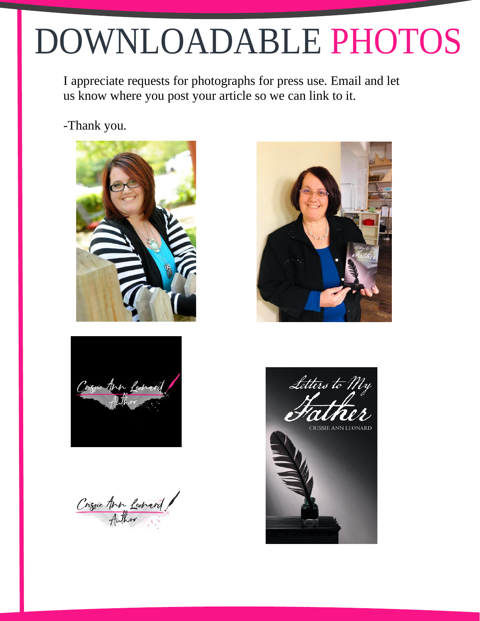### DOWNLOADABLE PHOTOS

I appreciate requests for photographs for press use. Email and let us know where you post your article so we can link to it.

-Thank you.





Crissie Are Leonard